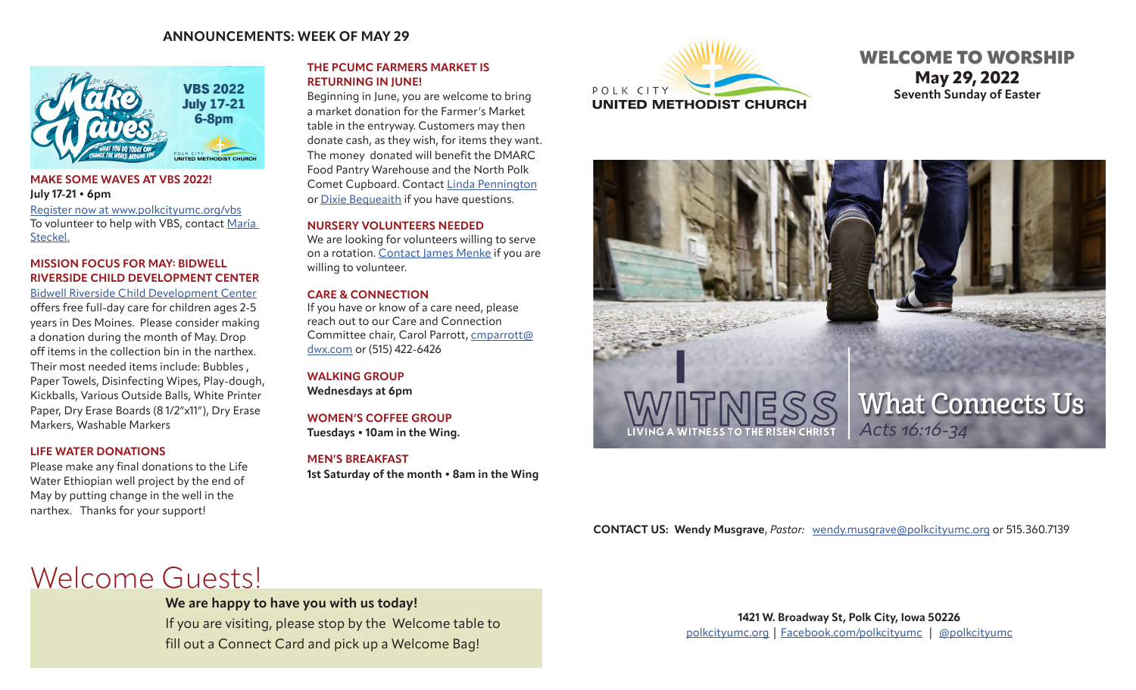## **ANNOUNCEMENTS: WEEK OF MAY 29**



## **MAKE SOME WAVES AT VBS 2022! July 17-21 • 6pm** [Register now at www.polkcityumc.org/vbs](https://www.polkcityumc.org/vbs.html)

To volunteer to help with VBS, contact Maria Steckel.

## **MISSION FOCUS FOR MAY: BIDWELL RIVERSIDE CHILD DEVELOPMENT CENTER**

[Bidwell Riverside Child Development Center](https://www.bidwellriverside.org/) offers free full-day care for children ages 2-5 years in Des Moines. Please consider making a donation during the month of May. Drop off items in the collection bin in the narthex. Their most needed items include: Bubbles , Paper Towels, Disinfecting Wipes, Play-dough, Kickballs, Various Outside Balls, White Printer Paper, Dry Erase Boards (8 1/2"x11"), Dry Erase Markers, Washable Markers

## **LIFE WATER DONATIONS**

Please make any final donations to the Life Water Ethiopian well project by the end of May by putting change in the well in the narthex. Thanks for your support!

## **THE PCUMC FARMERS MARKET IS RETURNING IN JUNE!**

Beginning in June, you are welcome to bring a market donation for the Farmer's Market table in the entryway. Customers may then donate cash, as they wish, for items they want. The money donated will benefit the DMARC Food Pantry Warehouse and the North Polk Comet Cupboard. Contact [Linda Pennington](mailto:penningtonlinda30%40gmail.com?subject=PCUMC%20Farmer%27s%20Market) or [Dixie Bequeaith](mailto:dbequeai967%40msn.com?subject=PCUMC%20Farmer%27s%20Market) if you have questions.

## **NURSERY VOLUNTEERS NEEDED**

We are looking for volunteers willing to serve on a rotation. [Contact](mailto:jemenke12%40gmail.com?subject=Nursery%20Volunteer) James Menke if you are willing to volunteer.

## **CARE & CONNECTION**

If you have or know of a care need, please reach out to our Care and Connection Committee chair, Carol Parrott, [cmparrott@](mailto:cmparrott%40dwx.com?subject=Care%20Need) [dwx.com](mailto:cmparrott%40dwx.com?subject=Care%20Need) or (515) 422-6426

**WALKING GROUP Wednesdays at 6pm**

**WOMEN'S COFFEE GROUP Tuesdays • 10am in the Wing.** 

**MEN'S BREAKFAST**

**1st Saturday of the month • 8am in the Wing** 



## WELCOME TO WORSHIP **May 29, 2022 Seventh Sunday of Easter**



## **CONTACT US: Wendy Musgrave**, *Pastor:* [wendy.musgrave@polkcityumc.org](mailto:wendy.musgrave%40polkcityumc.org?subject=) or 515.360.7139

# Welcome Guests!

**We are happy to have you with us today!** 

If you are visiting, please stop by the Welcome table to fill out a Connect Card and pick up a Welcome Bag!

**1421 W. Broadway St, Polk City, Iowa 50226** [polkcityumc.org](http://polkcityumc.org) | [Facebook.com/polkcityumc](http://Facebook.com/polkcityumc) | [@polkcityumc](https://www.instagram.com/polkcityyouth/)